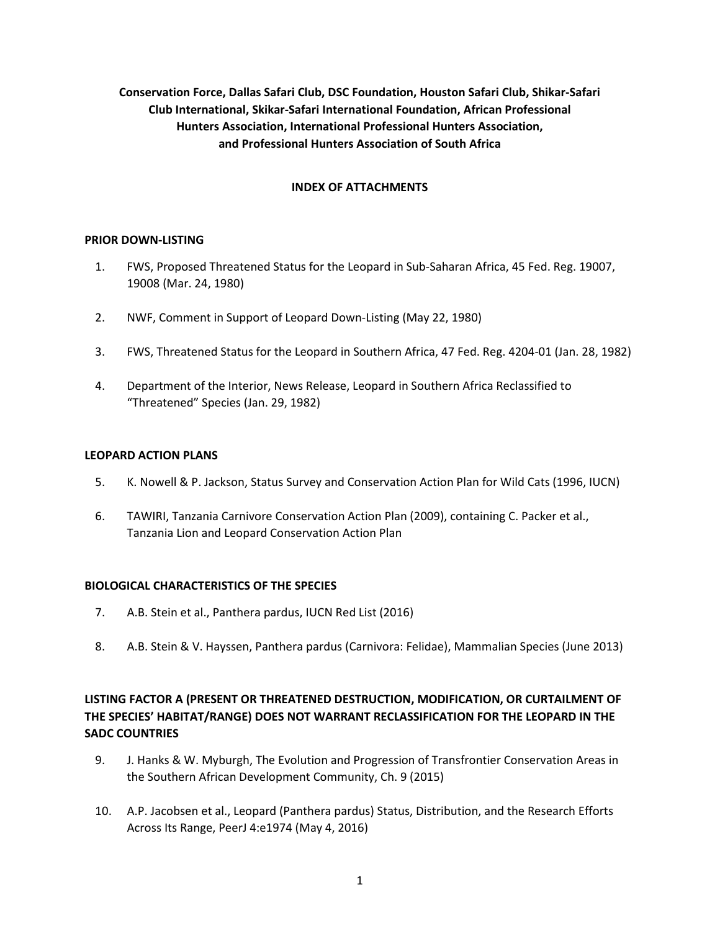**Conservation Force, Dallas Safari Club, DSC Foundation, Houston Safari Club, Shikar-Safari Club International, Skikar-Safari International Foundation, African Professional Hunters Association, International Professional Hunters Association, and Professional Hunters Association of South Africa** 

### **INDEX OF ATTACHMENTS**

### **PRIOR DOWN-LISTING**

- 1. FWS, Proposed Threatened Status for the Leopard in Sub-Saharan Africa, 45 Fed. Reg. 19007, 19008 (Mar. 24, 1980)
- 2. NWF, Comment in Support of Leopard Down-Listing (May 22, 1980)
- 3. FWS, Threatened Status for the Leopard in Southern Africa, 47 Fed. Reg. 4204-01 (Jan. 28, 1982)
- 4. Department of the Interior, News Release, Leopard in Southern Africa Reclassified to "Threatened" Species (Jan. 29, 1982)

#### **LEOPARD ACTION PLANS**

- 5. K. Nowell & P. Jackson, Status Survey and Conservation Action Plan for Wild Cats (1996, IUCN)
- 6. TAWIRI, Tanzania Carnivore Conservation Action Plan (2009), containing C. Packer et al., Tanzania Lion and Leopard Conservation Action Plan

### **BIOLOGICAL CHARACTERISTICS OF THE SPECIES**

- 7. A.B. Stein et al., Panthera pardus, IUCN Red List (2016)
- 8. A.B. Stein & V. Hayssen, Panthera pardus (Carnivora: Felidae), Mammalian Species (June 2013)

# **LISTING FACTOR A (PRESENT OR THREATENED DESTRUCTION, MODIFICATION, OR CURTAILMENT OF THE SPECIES' HABITAT/RANGE) DOES NOT WARRANT RECLASSIFICATION FOR THE LEOPARD IN THE SADC COUNTRIES**

- 9. J. Hanks & W. Myburgh, The Evolution and Progression of Transfrontier Conservation Areas in the Southern African Development Community, Ch. 9 (2015)
- 10. A.P. Jacobsen et al., Leopard (Panthera pardus) Status, Distribution, and the Research Efforts Across Its Range, PeerJ 4:e1974 (May 4, 2016)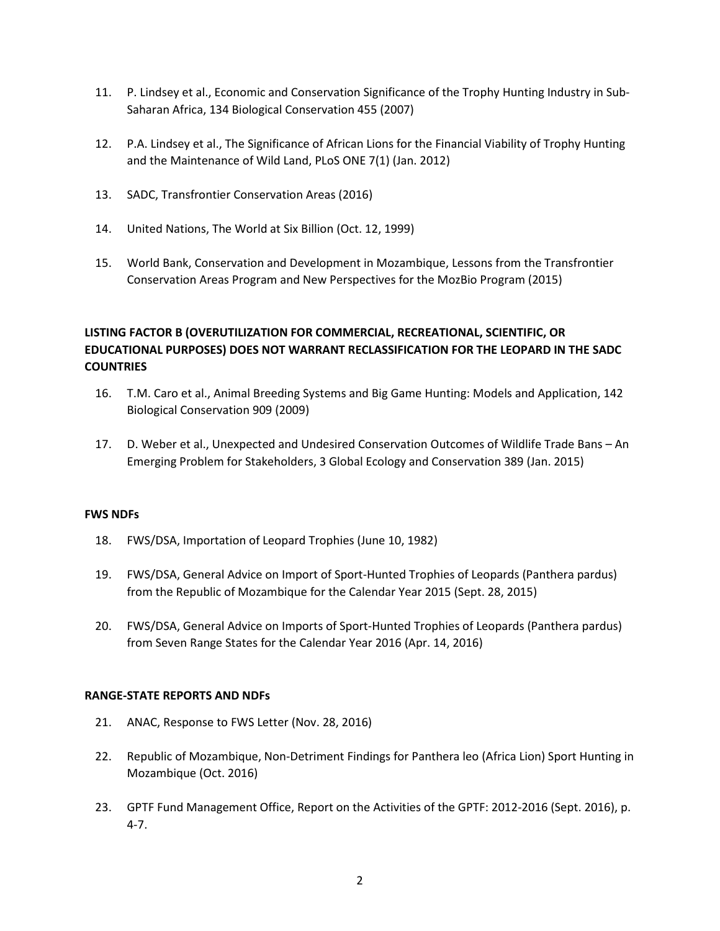- 11. P. Lindsey et al., Economic and Conservation Significance of the Trophy Hunting Industry in Sub-Saharan Africa, 134 Biological Conservation 455 (2007)
- 12. P.A. Lindsey et al., The Significance of African Lions for the Financial Viability of Trophy Hunting and the Maintenance of Wild Land, PLoS ONE 7(1) (Jan. 2012)
- 13. SADC, Transfrontier Conservation Areas (2016)
- 14. United Nations, The World at Six Billion (Oct. 12, 1999)
- 15. World Bank, Conservation and Development in Mozambique, Lessons from the Transfrontier Conservation Areas Program and New Perspectives for the MozBio Program (2015)

# **LISTING FACTOR B (OVERUTILIZATION FOR COMMERCIAL, RECREATIONAL, SCIENTIFIC, OR EDUCATIONAL PURPOSES) DOES NOT WARRANT RECLASSIFICATION FOR THE LEOPARD IN THE SADC COUNTRIES**

- 16. T.M. Caro et al., Animal Breeding Systems and Big Game Hunting: Models and Application, 142 Biological Conservation 909 (2009)
- 17. D. Weber et al., Unexpected and Undesired Conservation Outcomes of Wildlife Trade Bans An Emerging Problem for Stakeholders, 3 Global Ecology and Conservation 389 (Jan. 2015)

### **FWS NDFs**

- 18. FWS/DSA, Importation of Leopard Trophies (June 10, 1982)
- 19. FWS/DSA, General Advice on Import of Sport-Hunted Trophies of Leopards (Panthera pardus) from the Republic of Mozambique for the Calendar Year 2015 (Sept. 28, 2015)
- 20. FWS/DSA, General Advice on Imports of Sport-Hunted Trophies of Leopards (Panthera pardus) from Seven Range States for the Calendar Year 2016 (Apr. 14, 2016)

#### **RANGE-STATE REPORTS AND NDFs**

- 21. ANAC, Response to FWS Letter (Nov. 28, 2016)
- 22. Republic of Mozambique, Non-Detriment Findings for Panthera leo (Africa Lion) Sport Hunting in Mozambique (Oct. 2016)
- 23. GPTF Fund Management Office, Report on the Activities of the GPTF: 2012-2016 (Sept. 2016), p. 4-7.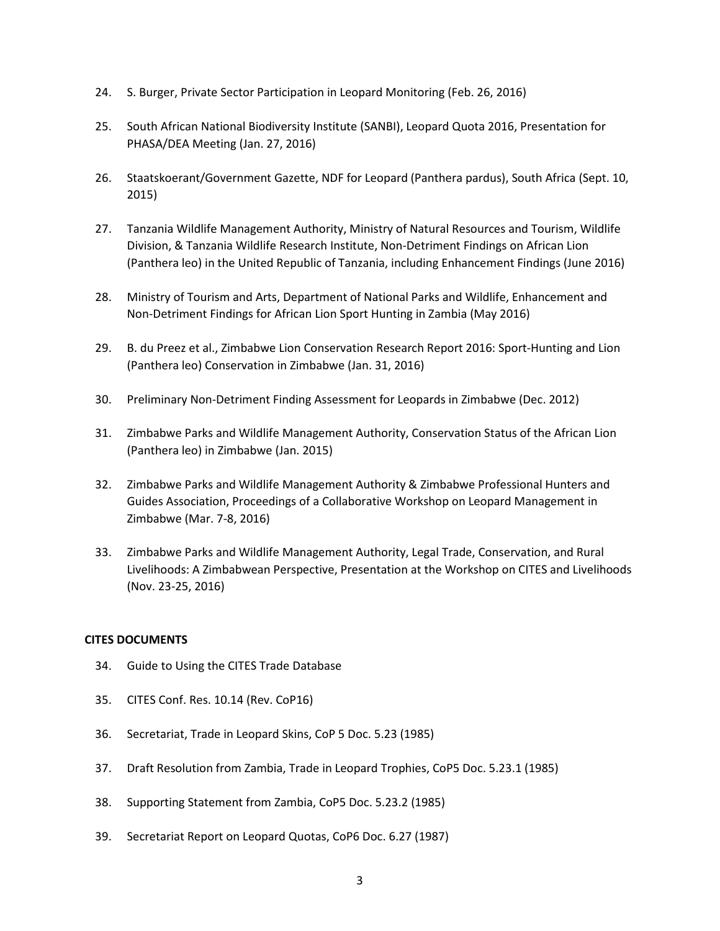- 24. S. Burger, Private Sector Participation in Leopard Monitoring (Feb. 26, 2016)
- 25. South African National Biodiversity Institute (SANBI), Leopard Quota 2016, Presentation for PHASA/DEA Meeting (Jan. 27, 2016)
- 26. Staatskoerant/Government Gazette, NDF for Leopard (Panthera pardus), South Africa (Sept. 10, 2015)
- 27. Tanzania Wildlife Management Authority, Ministry of Natural Resources and Tourism, Wildlife Division, & Tanzania Wildlife Research Institute, Non-Detriment Findings on African Lion (Panthera leo) in the United Republic of Tanzania, including Enhancement Findings (June 2016)
- 28. Ministry of Tourism and Arts, Department of National Parks and Wildlife, Enhancement and Non-Detriment Findings for African Lion Sport Hunting in Zambia (May 2016)
- 29. B. du Preez et al., Zimbabwe Lion Conservation Research Report 2016: Sport-Hunting and Lion (Panthera leo) Conservation in Zimbabwe (Jan. 31, 2016)
- 30. Preliminary Non-Detriment Finding Assessment for Leopards in Zimbabwe (Dec. 2012)
- 31. Zimbabwe Parks and Wildlife Management Authority, Conservation Status of the African Lion (Panthera leo) in Zimbabwe (Jan. 2015)
- 32. Zimbabwe Parks and Wildlife Management Authority & Zimbabwe Professional Hunters and Guides Association, Proceedings of a Collaborative Workshop on Leopard Management in Zimbabwe (Mar. 7-8, 2016)
- 33. Zimbabwe Parks and Wildlife Management Authority, Legal Trade, Conservation, and Rural Livelihoods: A Zimbabwean Perspective, Presentation at the Workshop on CITES and Livelihoods (Nov. 23-25, 2016)

### **CITES DOCUMENTS**

- 34. Guide to Using the CITES Trade Database
- 35. CITES Conf. Res. 10.14 (Rev. CoP16)
- 36. Secretariat, Trade in Leopard Skins, CoP 5 Doc. 5.23 (1985)
- 37. Draft Resolution from Zambia, Trade in Leopard Trophies, CoP5 Doc. 5.23.1 (1985)
- 38. Supporting Statement from Zambia, CoP5 Doc. 5.23.2 (1985)
- 39. Secretariat Report on Leopard Quotas, CoP6 Doc. 6.27 (1987)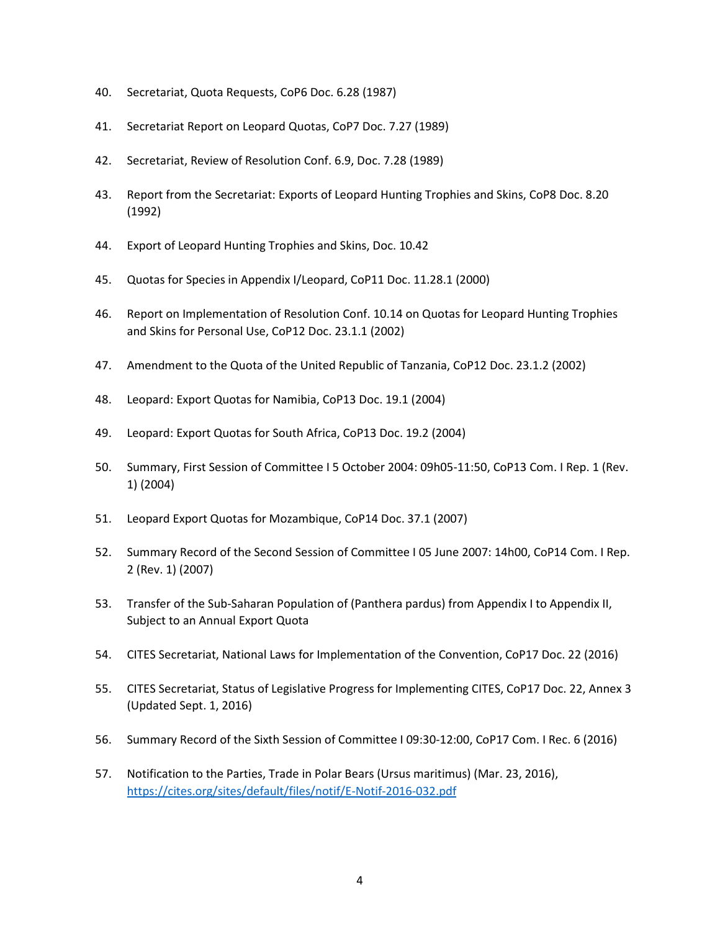- 40. Secretariat, Quota Requests, CoP6 Doc. 6.28 (1987)
- 41. Secretariat Report on Leopard Quotas, CoP7 Doc. 7.27 (1989)
- 42. Secretariat, Review of Resolution Conf. 6.9, Doc. 7.28 (1989)
- 43. Report from the Secretariat: Exports of Leopard Hunting Trophies and Skins, CoP8 Doc. 8.20 (1992)
- 44. Export of Leopard Hunting Trophies and Skins, Doc. 10.42
- 45. Quotas for Species in Appendix I/Leopard, CoP11 Doc. 11.28.1 (2000)
- 46. Report on Implementation of Resolution Conf. 10.14 on Quotas for Leopard Hunting Trophies and Skins for Personal Use, CoP12 Doc. 23.1.1 (2002)
- 47. Amendment to the Quota of the United Republic of Tanzania, CoP12 Doc. 23.1.2 (2002)
- 48. Leopard: Export Quotas for Namibia, CoP13 Doc. 19.1 (2004)
- 49. Leopard: Export Quotas for South Africa, CoP13 Doc. 19.2 (2004)
- 50. Summary, First Session of Committee I 5 October 2004: 09h05-11:50, CoP13 Com. I Rep. 1 (Rev. 1) (2004)
- 51. Leopard Export Quotas for Mozambique, CoP14 Doc. 37.1 (2007)
- 52. Summary Record of the Second Session of Committee I 05 June 2007: 14h00, CoP14 Com. I Rep. 2 (Rev. 1) (2007)
- 53. Transfer of the Sub-Saharan Population of (Panthera pardus) from Appendix I to Appendix II, Subject to an Annual Export Quota
- 54. CITES Secretariat, National Laws for Implementation of the Convention, CoP17 Doc. 22 (2016)
- 55. CITES Secretariat, Status of Legislative Progress for Implementing CITES, CoP17 Doc. 22, Annex 3 (Updated Sept. 1, 2016)
- 56. Summary Record of the Sixth Session of Committee I 09:30-12:00, CoP17 Com. I Rec. 6 (2016)
- 57. Notification to the Parties, Trade in Polar Bears (Ursus maritimus) (Mar. 23, 2016), https://cites.org/sites/default/files/notif/E-Notif-2016-032.pdf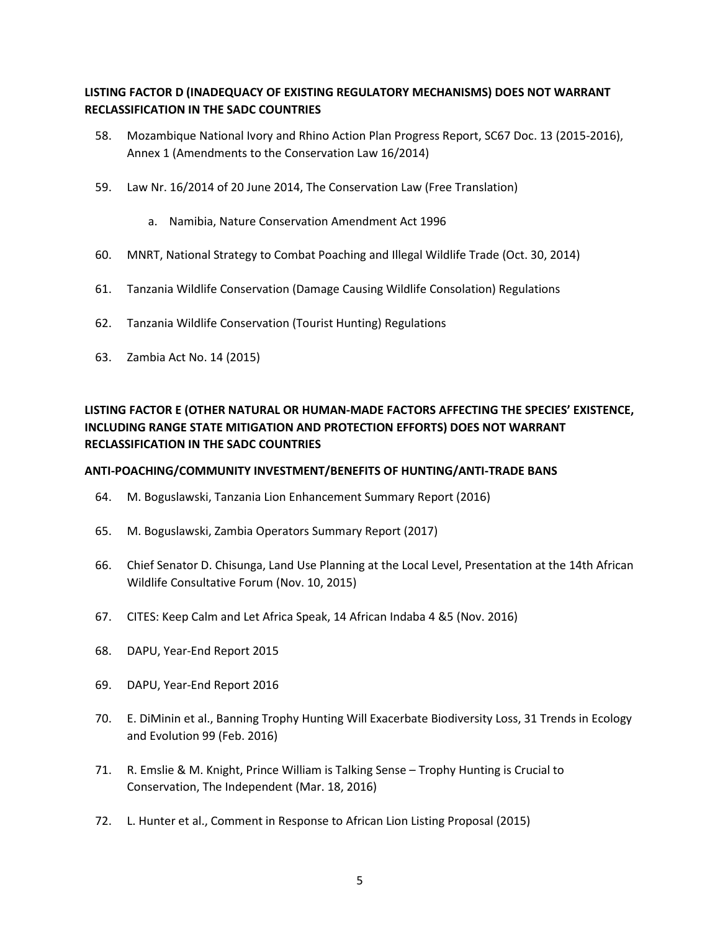## **LISTING FACTOR D (INADEQUACY OF EXISTING REGULATORY MECHANISMS) DOES NOT WARRANT RECLASSIFICATION IN THE SADC COUNTRIES**

- 58. Mozambique National Ivory and Rhino Action Plan Progress Report, SC67 Doc. 13 (2015-2016), Annex 1 (Amendments to the Conservation Law 16/2014)
- 59. Law Nr. 16/2014 of 20 June 2014, The Conservation Law (Free Translation)
	- a. Namibia, Nature Conservation Amendment Act 1996
- 60. MNRT, National Strategy to Combat Poaching and Illegal Wildlife Trade (Oct. 30, 2014)
- 61. Tanzania Wildlife Conservation (Damage Causing Wildlife Consolation) Regulations
- 62. Tanzania Wildlife Conservation (Tourist Hunting) Regulations
- 63. Zambia Act No. 14 (2015)

# **LISTING FACTOR E (OTHER NATURAL OR HUMAN-MADE FACTORS AFFECTING THE SPECIES' EXISTENCE, INCLUDING RANGE STATE MITIGATION AND PROTECTION EFFORTS) DOES NOT WARRANT RECLASSIFICATION IN THE SADC COUNTRIES**

### **ANTI-POACHING/COMMUNITY INVESTMENT/BENEFITS OF HUNTING/ANTI-TRADE BANS**

- 64. M. Boguslawski, Tanzania Lion Enhancement Summary Report (2016)
- 65. M. Boguslawski, Zambia Operators Summary Report (2017)
- 66. Chief Senator D. Chisunga, Land Use Planning at the Local Level, Presentation at the 14th African Wildlife Consultative Forum (Nov. 10, 2015)
- 67. CITES: Keep Calm and Let Africa Speak, 14 African Indaba 4 &5 (Nov. 2016)
- 68. DAPU, Year-End Report 2015
- 69. DAPU, Year-End Report 2016
- 70. E. DiMinin et al., Banning Trophy Hunting Will Exacerbate Biodiversity Loss, 31 Trends in Ecology and Evolution 99 (Feb. 2016)
- 71. R. Emslie & M. Knight, Prince William is Talking Sense Trophy Hunting is Crucial to Conservation, The Independent (Mar. 18, 2016)
- 72. L. Hunter et al., Comment in Response to African Lion Listing Proposal (2015)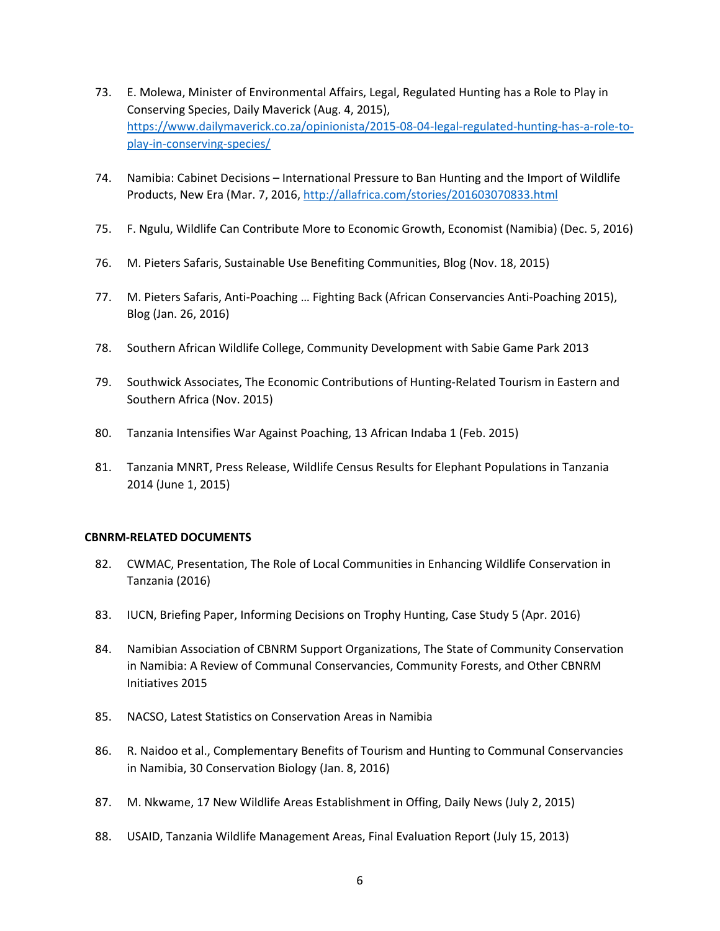- 73. E. Molewa, Minister of Environmental Affairs, Legal, Regulated Hunting has a Role to Play in Conserving Species, Daily Maverick (Aug. 4, 2015), https://www.dailymaverick.co.za/opinionista/2015-08-04-legal-regulated-hunting-has-a-role-toplay-in-conserving-species/
- 74. Namibia: Cabinet Decisions International Pressure to Ban Hunting and the Import of Wildlife Products, New Era (Mar. 7, 2016, http://allafrica.com/stories/201603070833.html
- 75. F. Ngulu, Wildlife Can Contribute More to Economic Growth, Economist (Namibia) (Dec. 5, 2016)
- 76. M. Pieters Safaris, Sustainable Use Benefiting Communities, Blog (Nov. 18, 2015)
- 77. M. Pieters Safaris, Anti-Poaching … Fighting Back (African Conservancies Anti-Poaching 2015), Blog (Jan. 26, 2016)
- 78. Southern African Wildlife College, Community Development with Sabie Game Park 2013
- 79. Southwick Associates, The Economic Contributions of Hunting-Related Tourism in Eastern and Southern Africa (Nov. 2015)
- 80. Tanzania Intensifies War Against Poaching, 13 African Indaba 1 (Feb. 2015)
- 81. Tanzania MNRT, Press Release, Wildlife Census Results for Elephant Populations in Tanzania 2014 (June 1, 2015)

### **CBNRM-RELATED DOCUMENTS**

- 82. CWMAC, Presentation, The Role of Local Communities in Enhancing Wildlife Conservation in Tanzania (2016)
- 83. IUCN, Briefing Paper, Informing Decisions on Trophy Hunting, Case Study 5 (Apr. 2016)
- 84. Namibian Association of CBNRM Support Organizations, The State of Community Conservation in Namibia: A Review of Communal Conservancies, Community Forests, and Other CBNRM Initiatives 2015
- 85. NACSO, Latest Statistics on Conservation Areas in Namibia
- 86. R. Naidoo et al., Complementary Benefits of Tourism and Hunting to Communal Conservancies in Namibia, 30 Conservation Biology (Jan. 8, 2016)
- 87. M. Nkwame, 17 New Wildlife Areas Establishment in Offing, Daily News (July 2, 2015)
- 88. USAID, Tanzania Wildlife Management Areas, Final Evaluation Report (July 15, 2013)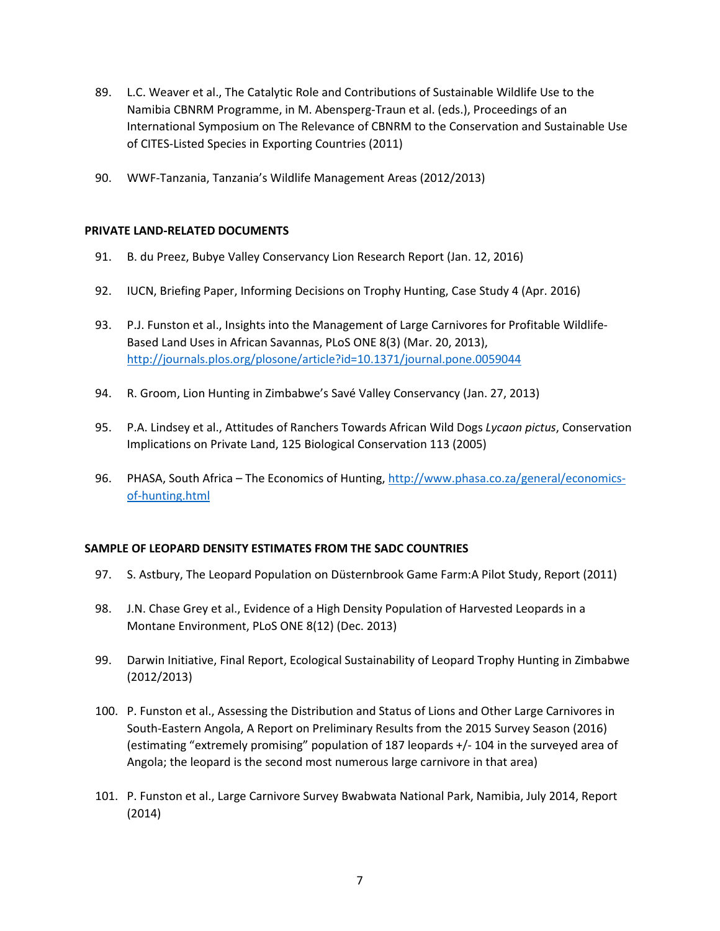- 89. L.C. Weaver et al., The Catalytic Role and Contributions of Sustainable Wildlife Use to the Namibia CBNRM Programme, in M. Abensperg-Traun et al. (eds.), Proceedings of an International Symposium on The Relevance of CBNRM to the Conservation and Sustainable Use of CITES-Listed Species in Exporting Countries (2011)
- 90. WWF-Tanzania, Tanzania's Wildlife Management Areas (2012/2013)

### **PRIVATE LAND-RELATED DOCUMENTS**

- 91. B. du Preez, Bubye Valley Conservancy Lion Research Report (Jan. 12, 2016)
- 92. IUCN, Briefing Paper, Informing Decisions on Trophy Hunting, Case Study 4 (Apr. 2016)
- 93. P.J. Funston et al., Insights into the Management of Large Carnivores for Profitable Wildlife-Based Land Uses in African Savannas, PLoS ONE 8(3) (Mar. 20, 2013), http://journals.plos.org/plosone/article?id=10.1371/journal.pone.0059044
- 94. R. Groom, Lion Hunting in Zimbabwe's Savé Valley Conservancy (Jan. 27, 2013)
- 95. P.A. Lindsey et al., Attitudes of Ranchers Towards African Wild Dogs *Lycaon pictus*, Conservation Implications on Private Land, 125 Biological Conservation 113 (2005)
- 96. PHASA, South Africa The Economics of Hunting, http://www.phasa.co.za/general/economicsof-hunting.html

### **SAMPLE OF LEOPARD DENSITY ESTIMATES FROM THE SADC COUNTRIES**

- 97. S. Astbury, The Leopard Population on Düsternbrook Game Farm:A Pilot Study, Report (2011)
- 98. J.N. Chase Grey et al., Evidence of a High Density Population of Harvested Leopards in a Montane Environment, PLoS ONE 8(12) (Dec. 2013)
- 99. Darwin Initiative, Final Report, Ecological Sustainability of Leopard Trophy Hunting in Zimbabwe (2012/2013)
- 100. P. Funston et al., Assessing the Distribution and Status of Lions and Other Large Carnivores in South-Eastern Angola, A Report on Preliminary Results from the 2015 Survey Season (2016) (estimating "extremely promising" population of 187 leopards +/- 104 in the surveyed area of Angola; the leopard is the second most numerous large carnivore in that area)
- 101. P. Funston et al., Large Carnivore Survey Bwabwata National Park, Namibia, July 2014, Report (2014)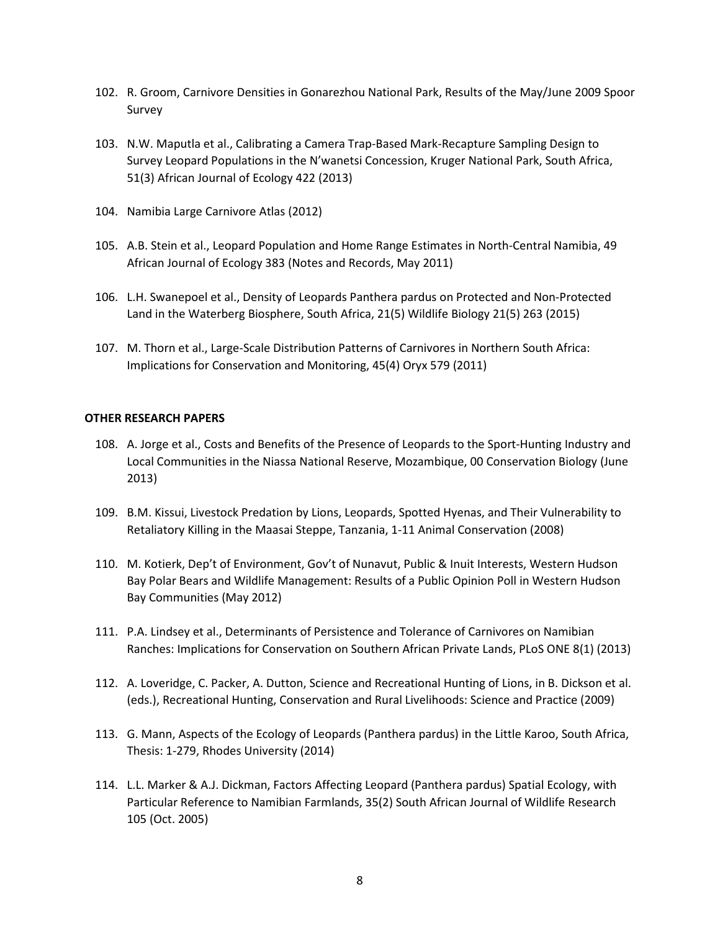- 102. R. Groom, Carnivore Densities in Gonarezhou National Park, Results of the May/June 2009 Spoor Survey
- 103. N.W. Maputla et al., Calibrating a Camera Trap-Based Mark-Recapture Sampling Design to Survey Leopard Populations in the N'wanetsi Concession, Kruger National Park, South Africa, 51(3) African Journal of Ecology 422 (2013)
- 104. Namibia Large Carnivore Atlas (2012)
- 105. A.B. Stein et al., Leopard Population and Home Range Estimates in North-Central Namibia, 49 African Journal of Ecology 383 (Notes and Records, May 2011)
- 106. L.H. Swanepoel et al., Density of Leopards Panthera pardus on Protected and Non-Protected Land in the Waterberg Biosphere, South Africa, 21(5) Wildlife Biology 21(5) 263 (2015)
- 107. M. Thorn et al., Large-Scale Distribution Patterns of Carnivores in Northern South Africa: Implications for Conservation and Monitoring, 45(4) Oryx 579 (2011)

#### **OTHER RESEARCH PAPERS**

- 108. A. Jorge et al., Costs and Benefits of the Presence of Leopards to the Sport-Hunting Industry and Local Communities in the Niassa National Reserve, Mozambique, 00 Conservation Biology (June 2013)
- 109. B.M. Kissui, Livestock Predation by Lions, Leopards, Spotted Hyenas, and Their Vulnerability to Retaliatory Killing in the Maasai Steppe, Tanzania, 1-11 Animal Conservation (2008)
- 110. M. Kotierk, Dep't of Environment, Gov't of Nunavut, Public & Inuit Interests, Western Hudson Bay Polar Bears and Wildlife Management: Results of a Public Opinion Poll in Western Hudson Bay Communities (May 2012)
- 111. P.A. Lindsey et al., Determinants of Persistence and Tolerance of Carnivores on Namibian Ranches: Implications for Conservation on Southern African Private Lands, PLoS ONE 8(1) (2013)
- 112. A. Loveridge, C. Packer, A. Dutton, Science and Recreational Hunting of Lions, in B. Dickson et al. (eds.), Recreational Hunting, Conservation and Rural Livelihoods: Science and Practice (2009)
- 113. G. Mann, Aspects of the Ecology of Leopards (Panthera pardus) in the Little Karoo, South Africa, Thesis: 1-279, Rhodes University (2014)
- 114. L.L. Marker & A.J. Dickman, Factors Affecting Leopard (Panthera pardus) Spatial Ecology, with Particular Reference to Namibian Farmlands, 35(2) South African Journal of Wildlife Research 105 (Oct. 2005)